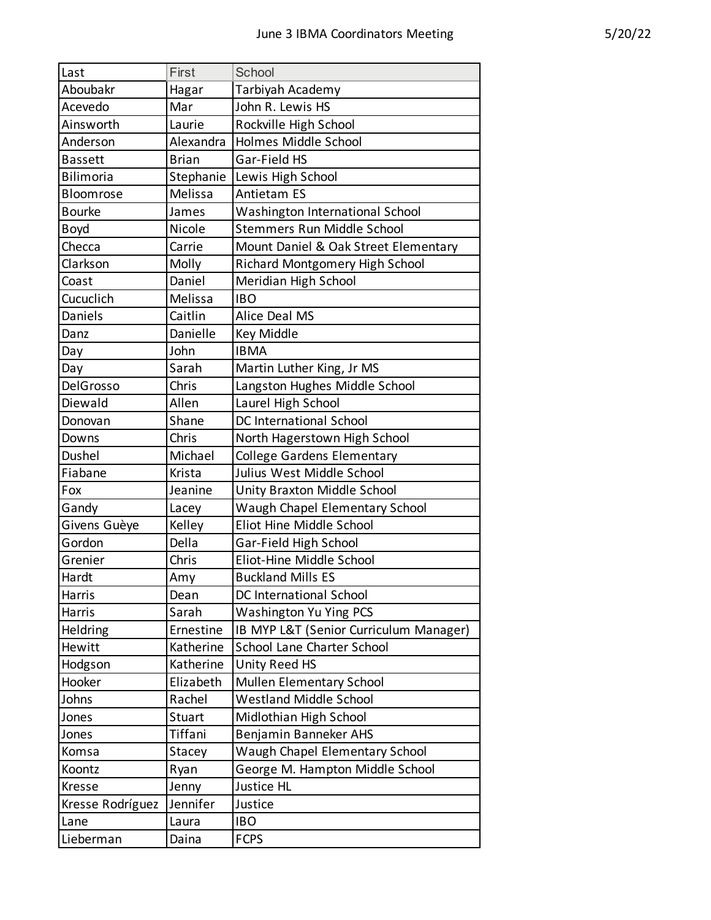| Last             | First        | School                                 |
|------------------|--------------|----------------------------------------|
| Aboubakr         | Hagar        | Tarbiyah Academy                       |
| Acevedo          | Mar          | John R. Lewis HS                       |
| Ainsworth        | Laurie       | Rockville High School                  |
| Anderson         | Alexandra    | Holmes Middle School                   |
| <b>Bassett</b>   | <b>Brian</b> | Gar-Field HS                           |
| Bilimoria        | Stephanie    | Lewis High School                      |
| Bloomrose        | Melissa      | <b>Antietam ES</b>                     |
| <b>Bourke</b>    | James        | Washington International School        |
| Boyd             | Nicole       | Stemmers Run Middle School             |
| Checca           | Carrie       | Mount Daniel & Oak Street Elementary   |
| Clarkson         | Molly        | Richard Montgomery High School         |
| Coast            | Daniel       | Meridian High School                   |
| Cucuclich        | Melissa      | <b>IBO</b>                             |
| Daniels          | Caitlin      | <b>Alice Deal MS</b>                   |
| Danz             | Danielle     | <b>Key Middle</b>                      |
| Day              | John         | <b>IBMA</b>                            |
| Day              | Sarah        | Martin Luther King, Jr MS              |
| DelGrosso        | Chris        | Langston Hughes Middle School          |
| Diewald          | Allen        | Laurel High School                     |
| Donovan          | Shane        | <b>DC International School</b>         |
| Downs            | Chris        | North Hagerstown High School           |
| Dushel           | Michael      | <b>College Gardens Elementary</b>      |
| Fiabane          | Krista       | Julius West Middle School              |
| Fox              | Jeanine      | Unity Braxton Middle School            |
| Gandy            | Lacey        | Waugh Chapel Elementary School         |
| Givens Guèye     | Kelley       | Eliot Hine Middle School               |
| Gordon           | Della        | Gar-Field High School                  |
| Grenier          | Chris        | Eliot-Hine Middle School               |
| Hardt            | Amy          | <b>Buckland Mills ES</b>               |
| Harris           | Dean         | DC International School                |
| Harris           | Sarah        | Washington Yu Ying PCS                 |
| Heldring         | Ernestine    | IB MYP L&T (Senior Curriculum Manager) |
| Hewitt           | Katherine    | School Lane Charter School             |
| Hodgson          | Katherine    | Unity Reed HS                          |
| Hooker           | Elizabeth    | <b>Mullen Elementary School</b>        |
| Johns            | Rachel       | <b>Westland Middle School</b>          |
| Jones            | Stuart       | Midlothian High School                 |
| Jones            | Tiffani      | Benjamin Banneker AHS                  |
| Komsa            | Stacey       | Waugh Chapel Elementary School         |
| Koontz           | Ryan         | George M. Hampton Middle School        |
| Kresse           | Jenny        | Justice HL                             |
| Kresse Rodríguez | Jennifer     | Justice                                |
| Lane             | Laura        | <b>IBO</b>                             |
| Lieberman        | Daina        | <b>FCPS</b>                            |